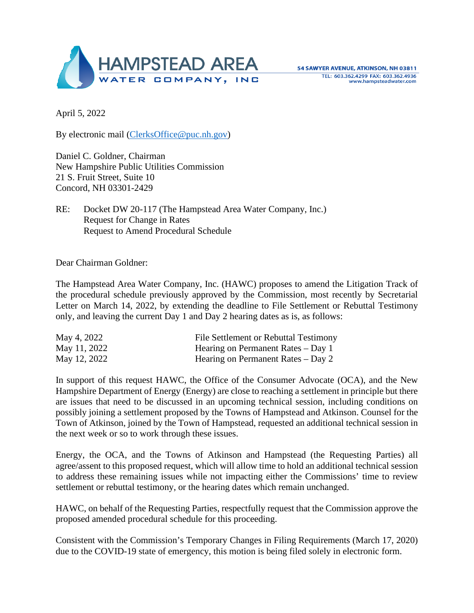

April 5, 2022

By electronic mail [\(ClerksOffice@puc.nh.gov\)](mailto:ClerksOffice@puc.nh.gov)

Daniel C. Goldner, Chairman New Hampshire Public Utilities Commission 21 S. Fruit Street, Suite 10 Concord, NH 03301-2429

RE: Docket DW 20-117 (The Hampstead Area Water Company, Inc.) Request for Change in Rates Request to Amend Procedural Schedule

Dear Chairman Goldner:

The Hampstead Area Water Company, Inc. (HAWC) proposes to amend the Litigation Track of the procedural schedule previously approved by the Commission, most recently by Secretarial Letter on March 14, 2022, by extending the deadline to File Settlement or Rebuttal Testimony only, and leaving the current Day 1 and Day 2 hearing dates as is, as follows:

| May 4, 2022  | File Settlement or Rebuttal Testimony |
|--------------|---------------------------------------|
| May 11, 2022 | Hearing on Permanent Rates – Day 1    |
| May 12, 2022 | Hearing on Permanent Rates $-$ Day 2  |

In support of this request HAWC, the Office of the Consumer Advocate (OCA), and the New Hampshire Department of Energy (Energy) are close to reaching a settlement in principle but there are issues that need to be discussed in an upcoming technical session, including conditions on possibly joining a settlement proposed by the Towns of Hampstead and Atkinson. Counsel for the Town of Atkinson, joined by the Town of Hampstead, requested an additional technical session in the next week or so to work through these issues.

Energy, the OCA, and the Towns of Atkinson and Hampstead (the Requesting Parties) all agree/assent to this proposed request, which will allow time to hold an additional technical session to address these remaining issues while not impacting either the Commissions' time to review settlement or rebuttal testimony, or the hearing dates which remain unchanged.

HAWC, on behalf of the Requesting Parties, respectfully request that the Commission approve the proposed amended procedural schedule for this proceeding.

Consistent with the Commission's Temporary Changes in Filing Requirements (March 17, 2020) due to the COVID-19 state of emergency, this motion is being filed solely in electronic form.